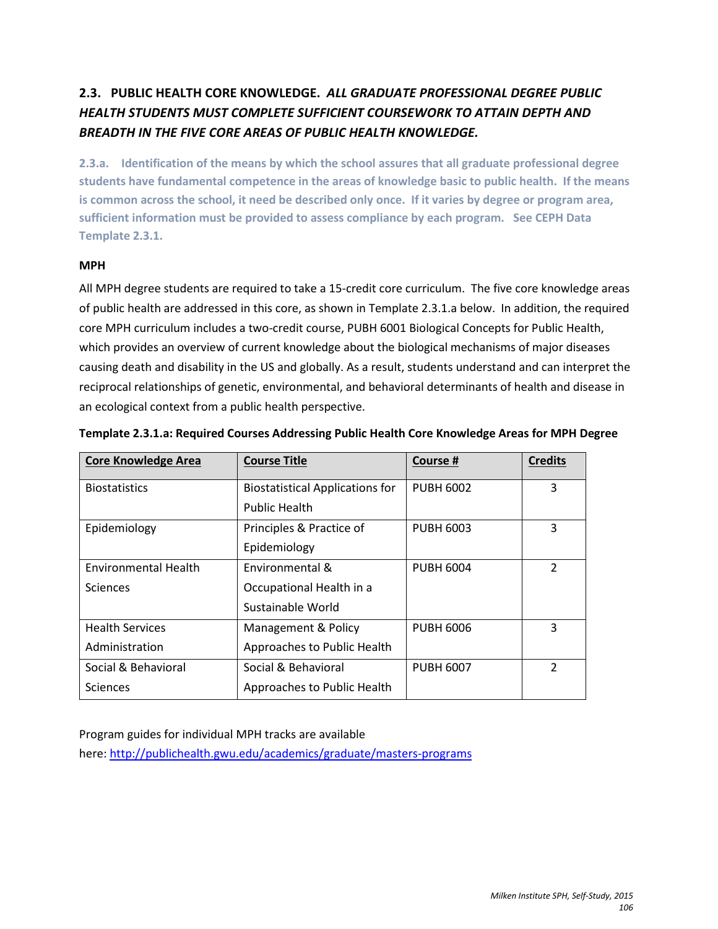# **2.3. PUBLIC HEALTH CORE KNOWLEDGE.** *ALL GRADUATE PROFESSIONAL DEGREE PUBLIC HEALTH STUDENTS MUST COMPLETE SUFFICIENT COURSEWORK TO ATTAIN DEPTH AND BREADTH IN THE FIVE CORE AREAS OF PUBLIC HEALTH KNOWLEDGE.*

**2.3.a. Identification of the means by which the school assures that all graduate professional degree students have fundamental competence in the areas of knowledge basic to public health. If the means is common across the school, it need be described only once. If it varies by degree or program area, sufficient information must be provided to assess compliance by each program. See CEPH Data Template 2.3.1.**

# **MPH**

All MPH degree students are required to take a 15-credit core curriculum. The five core knowledge areas of public health are addressed in this core, as shown in Template 2.3.1.a below. In addition, the required core MPH curriculum includes a two-credit course, PUBH 6001 Biological Concepts for Public Health, which provides an overview of current knowledge about the biological mechanisms of major diseases causing death and disability in the US and globally. As a result, students understand and can interpret the reciprocal relationships of genetic, environmental, and behavioral determinants of health and disease in an ecological context from a public health perspective.

| <b>Core Knowledge Area</b>  | <b>Course Title</b>                    | Course #         | <b>Credits</b> |
|-----------------------------|----------------------------------------|------------------|----------------|
| <b>Biostatistics</b>        | <b>Biostatistical Applications for</b> | <b>PUBH 6002</b> | 3              |
|                             | <b>Public Health</b>                   |                  |                |
| Epidemiology                | Principles & Practice of               | <b>PUBH 6003</b> | 3              |
|                             | Epidemiology                           |                  |                |
| <b>Environmental Health</b> | Environmental &                        | <b>PUBH 6004</b> | $\mathfrak{p}$ |
| <b>Sciences</b>             | Occupational Health in a               |                  |                |
|                             | Sustainable World                      |                  |                |
| <b>Health Services</b>      | Management & Policy                    | <b>PUBH 6006</b> | 3              |
| Administration              | Approaches to Public Health            |                  |                |
| Social & Behavioral         | Social & Behavioral                    | <b>PUBH 6007</b> | 2              |
| Sciences                    | Approaches to Public Health            |                  |                |

| Template 2.3.1.a: Required Courses Addressing Public Health Core Knowledge Areas for MPH Degree |  |
|-------------------------------------------------------------------------------------------------|--|

Program guides for individual MPH tracks are available

here[: http://publichealth.gwu.edu/academics/graduate/masters-programs](http://publichealth.gwu.edu/academics/graduate/masters-programs)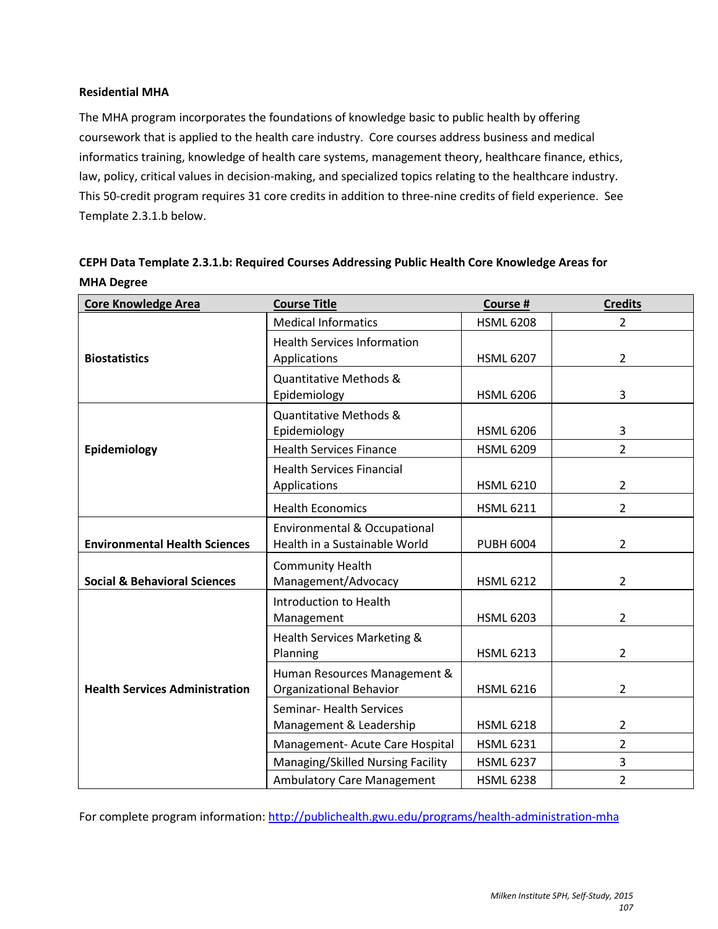# **Residential MHA**

The MHA program incorporates the foundations of knowledge basic to public health by offering coursework that is applied to the health care industry. Core courses address business and medical informatics training, knowledge of health care systems, management theory, healthcare finance, ethics, law, policy, critical values in decision-making, and specialized topics relating to the healthcare industry. This 50-credit program requires 31 core credits in addition to three-nine credits of field experience. See Template 2.3.1.b below.

| <b>Core Knowledge Area</b>              | <b>Course Title</b>                                                      | Course #         | <b>Credits</b> |
|-----------------------------------------|--------------------------------------------------------------------------|------------------|----------------|
| <b>Biostatistics</b>                    | <b>Medical Informatics</b>                                               | <b>HSML 6208</b> | $\overline{2}$ |
|                                         | <b>Health Services Information</b><br>Applications                       | <b>HSML 6207</b> | $\overline{2}$ |
|                                         | Quantitative Methods &<br>Epidemiology                                   | <b>HSML 6206</b> | 3              |
|                                         | <b>Quantitative Methods &amp;</b><br>Epidemiology                        | <b>HSML 6206</b> | 3              |
| Epidemiology                            | <b>Health Services Finance</b>                                           | <b>HSML 6209</b> | $\overline{2}$ |
|                                         | <b>Health Services Financial</b><br>Applications                         | <b>HSML 6210</b> | $\overline{2}$ |
|                                         | <b>Health Economics</b>                                                  | <b>HSML 6211</b> | $\overline{2}$ |
| <b>Environmental Health Sciences</b>    | <b>Environmental &amp; Occupational</b><br>Health in a Sustainable World | <b>PUBH 6004</b> | $\overline{2}$ |
| <b>Social &amp; Behavioral Sciences</b> | <b>Community Health</b><br>Management/Advocacy                           | <b>HSML 6212</b> | $\overline{2}$ |
| <b>Health Services Administration</b>   | Introduction to Health<br>Management                                     | <b>HSML 6203</b> | 2              |
|                                         | Health Services Marketing &<br>Planning                                  | <b>HSML 6213</b> | 2              |
|                                         | Human Resources Management &<br><b>Organizational Behavior</b>           | <b>HSML 6216</b> | $\overline{2}$ |
|                                         | Seminar- Health Services<br>Management & Leadership                      | <b>HSML 6218</b> | 2              |
|                                         | Management- Acute Care Hospital                                          | <b>HSML 6231</b> | $\overline{2}$ |
|                                         | Managing/Skilled Nursing Facility                                        | <b>HSML 6237</b> | 3              |
|                                         | <b>Ambulatory Care Management</b>                                        | <b>HSML 6238</b> | $\overline{2}$ |

# **CEPH Data Template 2.3.1.b: Required Courses Addressing Public Health Core Knowledge Areas for MHA Degree**

For complete program information:<http://publichealth.gwu.edu/programs/health-administration-mha>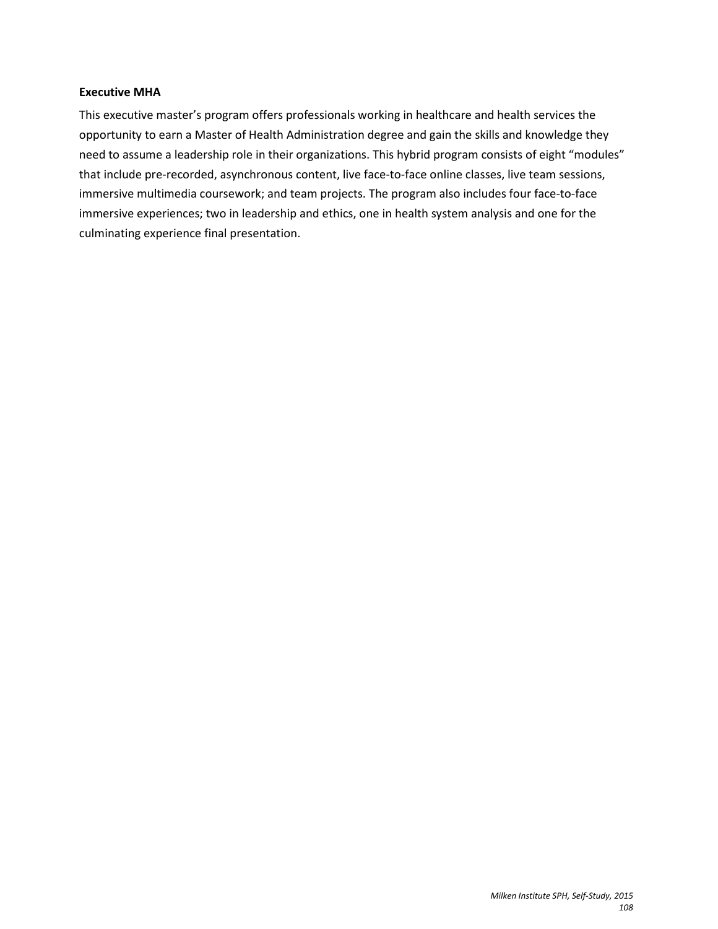#### **Executive MHA**

This executive master's program offers professionals working in healthcare and health services the opportunity to earn a Master of Health Administration degree and gain the skills and knowledge they need to assume a leadership role in their organizations. This hybrid program consists of eight "modules" that include pre-recorded, asynchronous content, live face-to-face online classes, live team sessions, immersive multimedia coursework; and team projects. The program also includes four face-to-face immersive experiences; two in leadership and ethics, one in health system analysis and one for the culminating experience final presentation.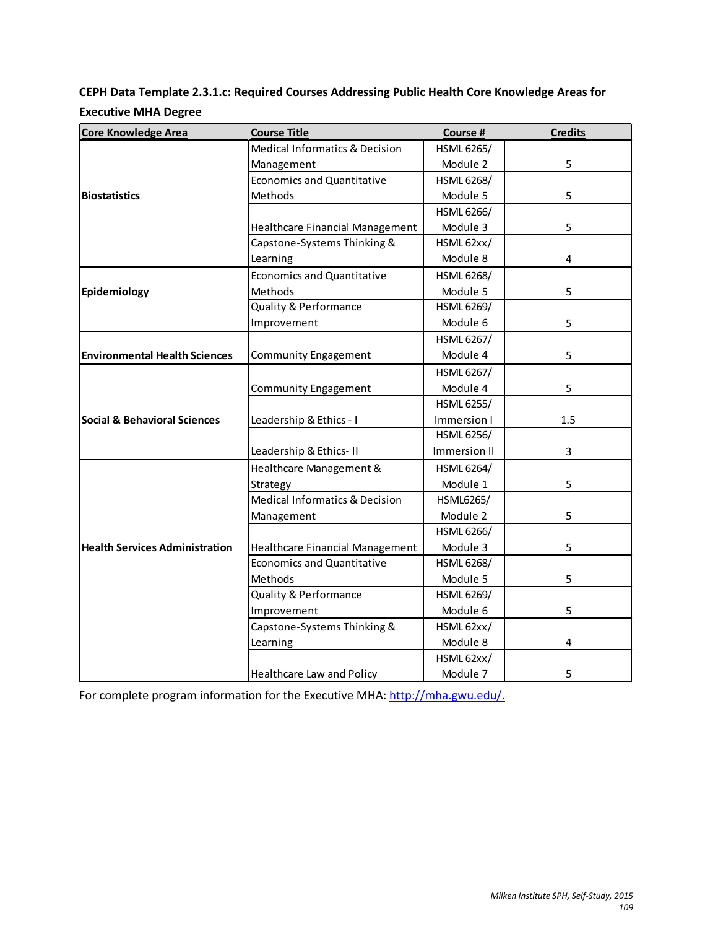**CEPH Data Template 2.3.1.c: Required Courses Addressing Public Health Core Knowledge Areas for Executive MHA Degree**

| <b>Core Knowledge Area</b>              | <b>Course Title</b>               | Course #          | <b>Credits</b> |
|-----------------------------------------|-----------------------------------|-------------------|----------------|
|                                         | Medical Informatics & Decision    | <b>HSML 6265/</b> |                |
|                                         | Management                        | Module 2          | 5              |
|                                         | <b>Economics and Quantitative</b> | <b>HSML 6268/</b> |                |
| <b>Biostatistics</b>                    | Methods                           | Module 5          | 5              |
|                                         |                                   | HSML 6266/        |                |
|                                         | Healthcare Financial Management   | Module 3          | 5              |
|                                         | Capstone-Systems Thinking &       | HSML 62xx/        |                |
|                                         | Learning                          | Module 8          | 4              |
|                                         | <b>Economics and Quantitative</b> | <b>HSML 6268/</b> |                |
| Epidemiology                            | Methods                           | Module 5          | 5              |
|                                         | <b>Quality &amp; Performance</b>  | <b>HSML 6269/</b> |                |
|                                         | Improvement                       | Module 6          | 5              |
|                                         |                                   | <b>HSML 6267/</b> |                |
| <b>Environmental Health Sciences</b>    | <b>Community Engagement</b>       | Module 4          | 5              |
|                                         |                                   | <b>HSML 6267/</b> |                |
|                                         | <b>Community Engagement</b>       | Module 4          | 5              |
|                                         |                                   | <b>HSML 6255/</b> |                |
| <b>Social &amp; Behavioral Sciences</b> | Leadership & Ethics - I           | Immersion I       | 1.5            |
|                                         |                                   | <b>HSML 6256/</b> |                |
|                                         | Leadership & Ethics-II            | Immersion II      | 3              |
|                                         | Healthcare Management &           | <b>HSML 6264/</b> |                |
|                                         | Strategy                          | Module 1          | 5              |
|                                         | Medical Informatics & Decision    | <b>HSML6265/</b>  |                |
|                                         | Management                        | Module 2          | 5              |
|                                         |                                   | <b>HSML 6266/</b> |                |
| <b>Health Services Administration</b>   | Healthcare Financial Management   | Module 3          | 5              |
|                                         | <b>Economics and Quantitative</b> | <b>HSML 6268/</b> |                |
|                                         | Methods                           | Module 5          | 5              |
|                                         | Quality & Performance             | <b>HSML 6269/</b> |                |
|                                         | Improvement                       | Module 6          | 5              |
|                                         | Capstone-Systems Thinking &       | HSML 62xx/        |                |
|                                         | Learning                          | Module 8          | 4              |
|                                         |                                   | HSML 62xx/        |                |
|                                         | Healthcare Law and Policy         | Module 7          | 5              |

For complete program information for the Executive MHA: [http://mha.gwu.edu/.](http://mha.gwu.edu/)